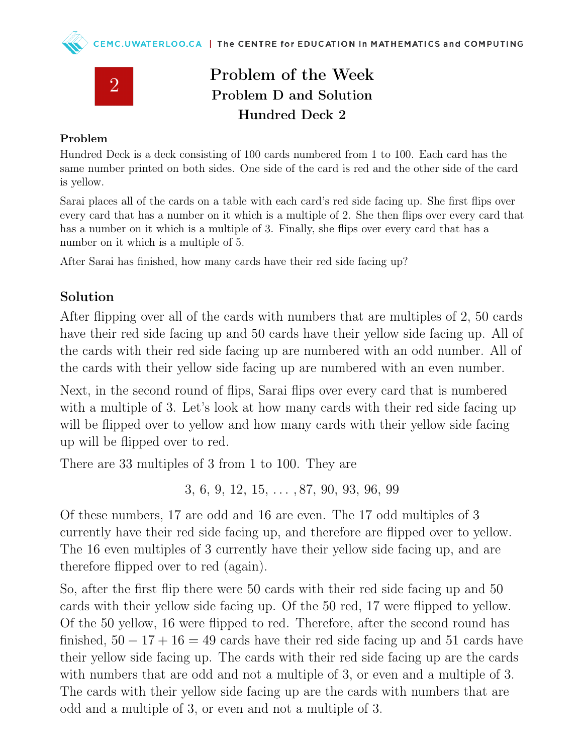

## Problem of the Week Problem D and Solution Hundred Deck 2

## Problem

Hundred Deck is a deck consisting of 100 cards numbered from 1 to 100. Each card has the same number printed on both sides. One side of the card is red and the other side of the card is yellow.

Sarai places all of the cards on a table with each card's red side facing up. She first flips over every card that has a number on it which is a multiple of 2. She then flips over every card that has a number on it which is a multiple of 3. Finally, she flips over every card that has a number on it which is a multiple of 5.

After Sarai has finished, how many cards have their red side facing up?

## Solution

After flipping over all of the cards with numbers that are multiples of 2, 50 cards have their red side facing up and 50 cards have their yellow side facing up. All of the cards with their red side facing up are numbered with an odd number. All of the cards with their yellow side facing up are numbered with an even number.

Next, in the second round of flips, Sarai flips over every card that is numbered with a multiple of 3. Let's look at how many cards with their red side facing up will be flipped over to yellow and how many cards with their yellow side facing up will be flipped over to red.

There are 33 multiples of 3 from 1 to 100. They are

3, 6, 9, 12, 15, . . . , 87, 90, 93, 96, 99

Of these numbers, 17 are odd and 16 are even. The 17 odd multiples of 3 currently have their red side facing up, and therefore are flipped over to yellow. The 16 even multiples of 3 currently have their yellow side facing up, and are therefore flipped over to red (again).

So, after the first flip there were 50 cards with their red side facing up and 50 cards with their yellow side facing up. Of the 50 red, 17 were flipped to yellow. Of the 50 yellow, 16 were flipped to red. Therefore, after the second round has finished,  $50 - 17 + 16 = 49$  cards have their red side facing up and 51 cards have their yellow side facing up. The cards with their red side facing up are the cards with numbers that are odd and not a multiple of 3, or even and a multiple of 3. The cards with their yellow side facing up are the cards with numbers that are odd and a multiple of 3, or even and not a multiple of 3.